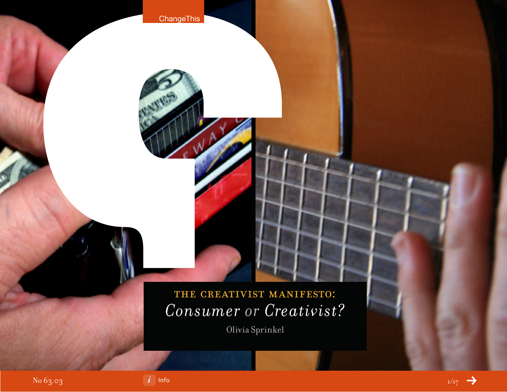

Olivia Sprinkel



**ChangeThis** 

**NATION**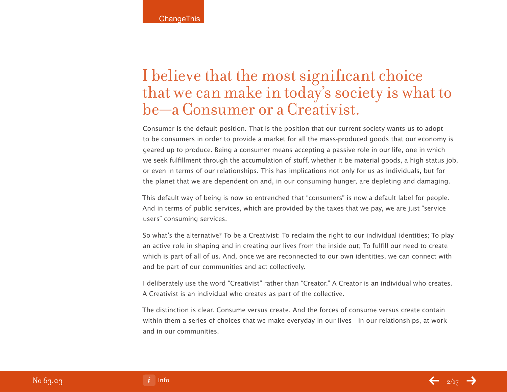## I believe that the most significant choice that we can make in today's society is what to be—a Consumer or a Creativist.

Consumer is the default position. That is the position that our current society wants us to adopt to be consumers in order to provide a market for all the mass-produced goods that our economy is geared up to produce. Being a consumer means accepting a passive role in our life, one in which we seek fulfillment through the accumulation of stuff, whether it be material goods, a high status job, or even in terms of our relationships. This has implications not only for us as individuals, but for the planet that we are dependent on and, in our consuming hunger, are depleting and damaging.

This default way of being is now so entrenched that "consumers" is now a default label for people. And in terms of public services, which are provided by the taxes that we pay, we are just "service users" consuming services.

So what's the alternative? To be a Creativist: To reclaim the right to our individual identities; To play an active role in shaping and in creating our lives from the inside out; To fulfill our need to create which is part of all of us. And, once we are reconnected to our own identities, we can connect with and be part of our communities and act collectively.

I deliberately use the word "Creativist" rather than "Creator." A Creator is an individual who creates. A Creativist is an individual who creates as part of the collective.

The distinction is clear. Consume versus create. And the forces of consume versus create contain within them a series of choices that we make everyday in our lives—in our relationships, at work and in our communities.

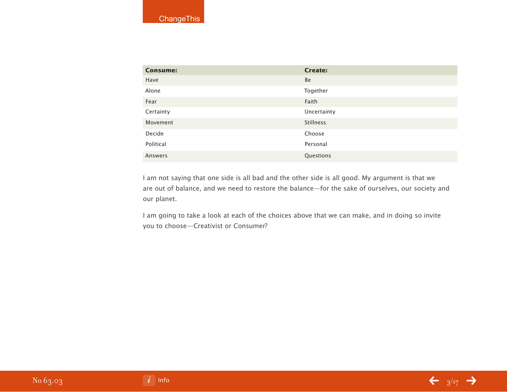| <b>Consume:</b> | <b>Create:</b>   |
|-----------------|------------------|
| Have            | Be               |
| Alone           | Together         |
| Fear            | Faith            |
| Certainty       | Uncertainty      |
| Movement        | <b>Stillness</b> |
| Decide          | Choose           |
| Political       | Personal         |
| Answers         | Questions        |

I am not saying that one side is all bad and the other side is all good. My argument is that we are out of balance, and we need to restore the balance—for the sake of ourselves, our society and our planet.

I am going to take a look at each of the choices above that we can make, and in doing so invite you to choose—Creativist or Consumer?

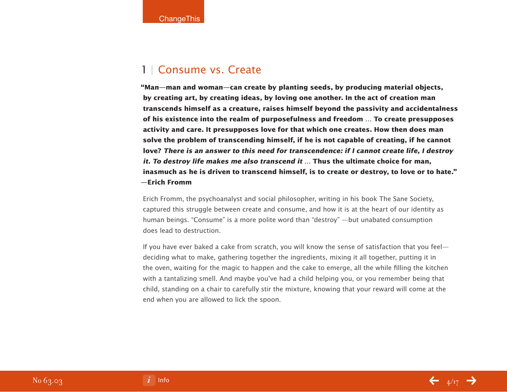### 1 | Consume vs. Create

**"Man—man and woman—can create by planting seeds, by producing material objects, by creating art, by creating ideas, by loving one another. In the act of creation man transcends himself as a creature, raises himself beyond the passivity and accidentalness of his existence into the realm of purposefulness and freedom … To create presupposes activity and care. It presupposes love for that which one creates. How then does man solve the problem of transcending himself, if he is not capable of creating, if he cannot love? There is an answer to this need for transcendence: if I cannot create life, I destroy it. To destroy life makes me also transcend it … Thus the ultimate choice for man, inasmuch as he is driven to transcend himself, is to create or destroy, to love or to hate." —Erich Fromm**

Erich Fromm, the psychoanalyst and social philosopher, writing in his book The Sane Society, captured this struggle between create and consume, and how it is at the heart of our identity as human beings. "Consume" is a more polite word than "destroy" —but unabated consumption does lead to destruction.

If you have ever baked a cake from scratch, you will know the sense of satisfaction that you feel deciding what to make, gathering together the ingredients, mixing it all together, putting it in the oven, waiting for the magic to happen and the cake to emerge, all the while filling the kitchen with a tantalizing smell. And maybe you've had a child helping you, or you remember being that child, standing on a chair to carefully stir the mixture, knowing that your reward will come at the end when you are allowed to lick the spoon.



No 63.03

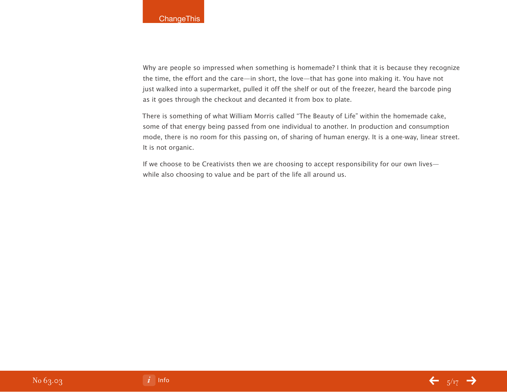Why are people so impressed when something is homemade? I think that it is because they recognize the time, the effort and the care—in short, the love—that has gone into making it. You have not just walked into a supermarket, pulled it off the shelf or out of the freezer, heard the barcode ping as it goes through the checkout and decanted it from box to plate.

There is something of what William Morris called "The Beauty of Life" within the homemade cake, some of that energy being passed from one individual to another. In production and consumption mode, there is no room for this passing on, of sharing of human energy. It is a one-way, linear street. It is not organic.

If we choose to be Creativists then we are choosing to accept responsibility for our own lives while also choosing to value and be part of the life all around us.



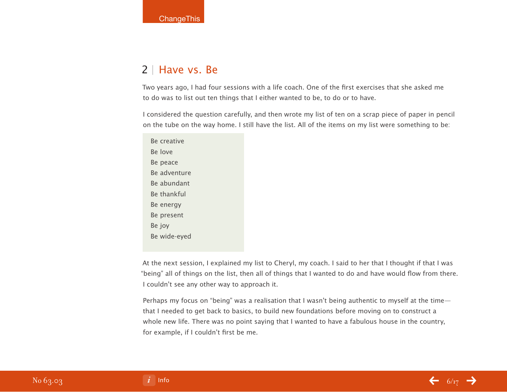### 2 | Have vs. Be

Two years ago, I had four sessions with a life coach. One of the first exercises that she asked me to do was to list out ten things that I either wanted to be, to do or to have.

I considered the question carefully, and then wrote my list of ten on a scrap piece of paper in pencil on the tube on the way home. I still have the list. All of the items on my list were something to be:

Be creative Be love Be peace Be adventure Be abundant Be thankful Be energy Be present Be joy Be wide-eyed

At the next session, I explained my list to Cheryl, my coach. I said to her that I thought if that I was "being" all of things on the list, then all of things that I wanted to do and have would flow from there. I couldn't see any other way to approach it.

Perhaps my focus on "being" was a realisation that I wasn't being authentic to myself at the time that I needed to get back to basics, to build new foundations before moving on to construct a whole new life. There was no point saying that I wanted to have a fabulous house in the country, for example, if I couldn't first be me.



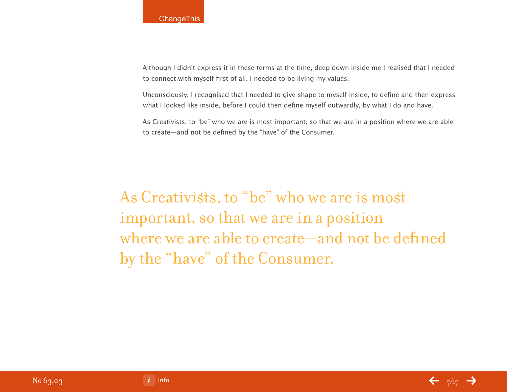Although I didn't express it in these terms at the time, deep down inside me I realised that I needed to connect with myself first of all. I needed to be living my values.

Unconsciously, I recognised that I needed to give shape to myself inside, to define and then express what I looked like inside, before I could then define myself outwardly, by what I do and have.

As Creativists, to "be" who we are is most important, so that we are in a position where we are able to create—and not be defined by the "have" of the Consumer.

As Creativists, to "be" who we are is most important, so that we are in a position where we are able to create—and not be defined by the "have" of the Consumer.



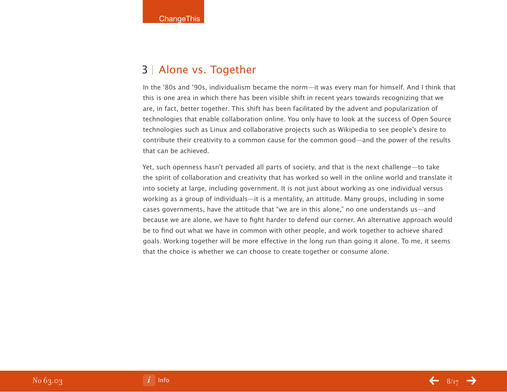### 3 | Alone vs. Together

In the '80s and '90s, individualism became the norm—it was every man for himself. And I think that this is one area in which there has been visible shift in recent years towards recognizing that we are, in fact, better together. This shift has been facilitated by the advent and popularization of technologies that enable collaboration online. You only have to look at the success of Open Source technologies such as Linux and collaborative projects such as Wikipedia to see people's desire to contribute their creativity to a common cause for the common good—and the power of the results that can be achieved.

Yet, such openness hasn't pervaded all parts of society, and that is the next challenge—to take the spirit of collaboration and creativity that has worked so well in the online world and translate it into society at large, including government. It is not just about working as one individual versus working as a group of individuals—it is a mentality, an attitude. Many groups, including in some cases governments, have the attitude that "we are in this alone," no one understands us—and because we are alone, we have to fight harder to defend our corner. An alternative approach would be to find out what we have in common with other people, and work together to achieve shared goals. Working together will be more effective in the long run than going it alone. To me, it seems that the choice is whether we can choose to create together or consume alone.

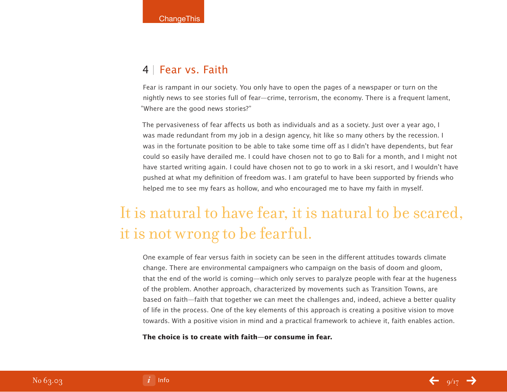### 4 | Fear vs. Faith

Fear is rampant in our society. You only have to open the pages of a newspaper or turn on the nightly news to see stories full of fear—crime, terrorism, the economy. There is a frequent lament, "Where are the good news stories?"

The pervasiveness of fear affects us both as individuals and as a society. Just over a year ago, I was made redundant from my job in a design agency, hit like so many others by the recession. I was in the fortunate position to be able to take some time off as I didn't have dependents, but fear could so easily have derailed me. I could have chosen not to go to Bali for a month, and I might not have started writing again. I could have chosen not to go to work in a ski resort, and I wouldn't have pushed at what my definition of freedom was. I am grateful to have been supported by friends who helped me to see my fears as hollow, and who encouraged me to have my faith in myself.

# It is natural to have fear, it is natural to be scared, it is not wrong to be fearful.

One example of fear versus faith in society can be seen in the different attitudes towards climate change. There are environmental campaigners who campaign on the basis of doom and gloom, that the end of the world is coming—which only serves to paralyze people with fear at the hugeness of the problem. Another approach, characterized by movements such as Transition Towns, are based on faith—faith that together we can meet the challenges and, indeed, achieve a better quality of life in the process. One of the key elements of this approach is creating a positive vision to move towards. With a positive vision in mind and a practical framework to achieve it, faith enables action.

#### **The choice is to create with faith—or consume in fear.**

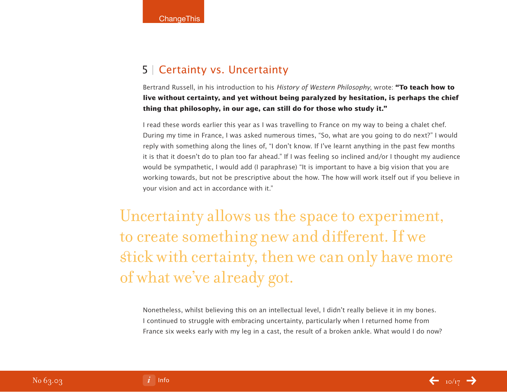### 5 | Certainty vs. Uncertainty

Bertrand Russell, in his introduction to his History of Western Philosophy, wrote: **"To teach how to live without certainty, and yet without being paralyzed by hesitation, is perhaps the chief thing that philosophy, in our age, can still do for those who study it."** 

I read these words earlier this year as I was travelling to France on my way to being a chalet chef. During my time in France, I was asked numerous times, "So, what are you going to do next?" I would reply with something along the lines of, "I don't know. If I've learnt anything in the past few months it is that it doesn't do to plan too far ahead." If I was feeling so inclined and/or I thought my audience would be sympathetic, I would add (I paraphrase) "It is important to have a big vision that you are working towards, but not be prescriptive about the how. The how will work itself out if you believe in your vision and act in accordance with it."

Uncertainty allows us the space to experiment, to create something new and different. If we stick with certainty, then we can only have more of what we've already got.

Nonetheless, whilst believing this on an intellectual level, I didn't really believe it in my bones. I continued to struggle with embracing uncertainty, particularly when I returned home from France six weeks early with my leg in a cast, the result of a broken ankle. What would I do now?

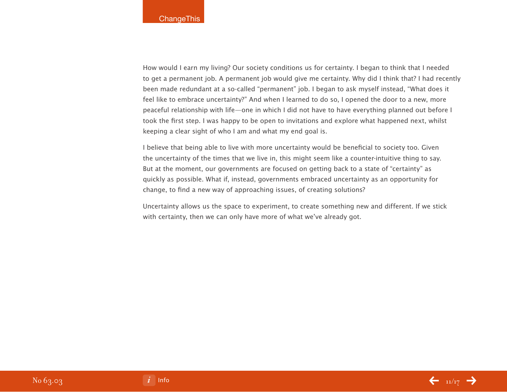How would I earn my living? Our society conditions us for certainty. I began to think that I needed to get a permanent job. A permanent job would give me certainty. Why did I think that? I had recently been made redundant at a so-called "permanent" job. I began to ask myself instead, "What does it feel like to embrace uncertainty?" And when I learned to do so, I opened the door to a new, more peaceful relationship with life—one in which I did not have to have everything planned out before I took the first step. I was happy to be open to invitations and explore what happened next, whilst keeping a clear sight of who I am and what my end goal is.

I believe that being able to live with more uncertainty would be beneficial to society too. Given the uncertainty of the times that we live in, this might seem like a counter-intuitive thing to say. But at the moment, our governments are focused on getting back to a state of "certainty" as quickly as possible. What if, instead, governments embraced uncertainty as an opportunity for change, to find a new way of approaching issues, of creating solutions?

Uncertainty allows us the space to experiment, to create something new and different. If we stick with certainty, then we can only have more of what we've already got.

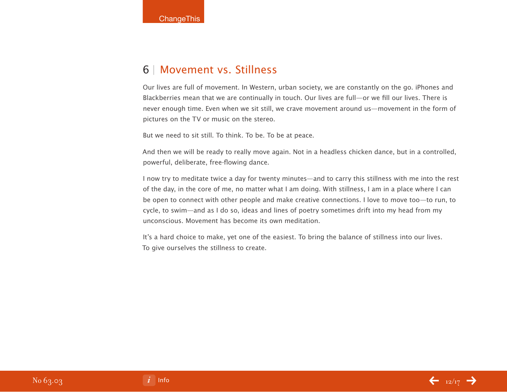### 6 | Movement vs. Stillness

Our lives are full of movement. In Western, urban society, we are constantly on the go. iPhones and Blackberries mean that we are continually in touch. Our lives are full—or we fill our lives. There is never enough time. Even when we sit still, we crave movement around us—movement in the form of pictures on the TV or music on the stereo.

But we need to sit still. To think. To be. To be at peace.

And then we will be ready to really move again. Not in a headless chicken dance, but in a controlled, powerful, deliberate, free-flowing dance.

I now try to meditate twice a day for twenty minutes—and to carry this stillness with me into the rest of the day, in the core of me, no matter what I am doing. With stillness, I am in a place where I can be open to connect with other people and make creative connections. I love to move too—to run, to cycle, to swim—and as I do so, ideas and lines of poetry sometimes drift into my head from my unconscious. Movement has become its own meditation.

It's a hard choice to make, yet one of the easiest. To bring the balance of stillness into our lives. To give ourselves the stillness to create.



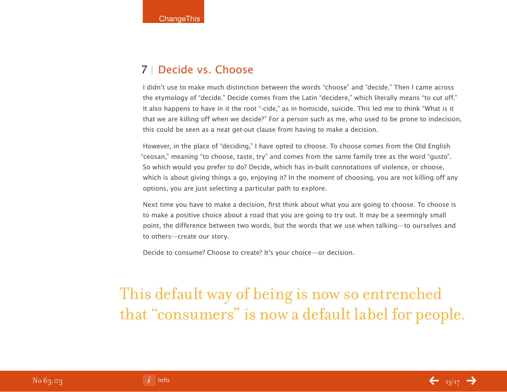### 7 | Decide vs. Choose

I didn't use to make much distinction between the words "choose" and "decide." Then I came across the etymology of "decide." Decide comes from the Latin "decidere," which literally means "to cut off." It also happens to have in it the root "-cide," as in homicide, suicide. This led me to think "What is it that we are killing off when we decide?" For a person such as me, who used to be prone to indecision, this could be seen as a neat get-out clause from having to make a decision.

However, in the place of "deciding," I have opted to choose. To choose comes from the Old English "ceosan," meaning "to choose, taste, try" and comes from the same family tree as the word "gusto". So which would you prefer to do? Decide, which has in-built connotations of violence, or choose, which is about giving things a go, enjoying it? In the moment of choosing, you are not killing off any options, you are just selecting a particular path to explore.

Next time you have to make a decision, first think about what you are going to choose. To choose is to make a positive choice about a road that you are going to try out. It may be a seemingly small point, the difference between two words, but the words that we use when talking—to ourselves and to others—create our story.

Decide to consume? Choose to create? It's your choice—or decision.

## This default way of being is now so entrenched that "consumers" is now a default label for people.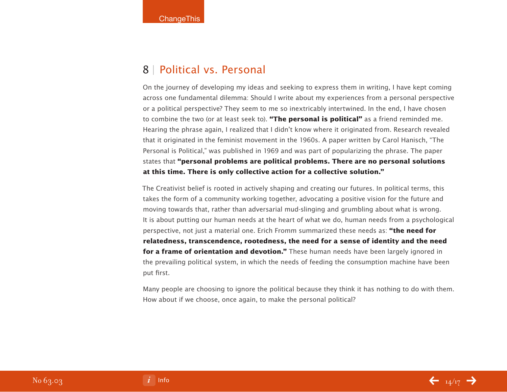#### 8 | Political vs. Personal

On the journey of developing my ideas and seeking to express them in writing, I have kept coming across one fundamental dilemma: Should I write about my experiences from a personal perspective or a political perspective? They seem to me so inextricably intertwined. In the end, I have chosen to combine the two (or at least seek to). **"The personal is political"** as a friend reminded me. Hearing the phrase again, I realized that I didn't know where it originated from. Research revealed that it originated in the feminist movement in the 1960s. A paper written by Carol Hanisch, "The Personal is Political," was published in 1969 and was part of popularizing the phrase. The paper states that **"personal problems are political problems. There are no personal solutions at this time. There is only collective action for a collective solution."**

The Creativist belief is rooted in actively shaping and creating our futures. In political terms, this takes the form of a community working together, advocating a positive vision for the future and moving towards that, rather than adversarial mud-slinging and grumbling about what is wrong. It is about putting our human needs at the heart of what we do, human needs from a psychological perspective, not just a material one. Erich Fromm summarized these needs as: **"the need for relatedness, transcendence, rootedness, the need for a sense of identity and the need for a frame of orientation and devotion."** These human needs have been largely ignored in the prevailing political system, in which the needs of feeding the consumption machine have been put first.

Many people are choosing to ignore the political because they think it has nothing to do with them. How about if we choose, once again, to make the personal political?

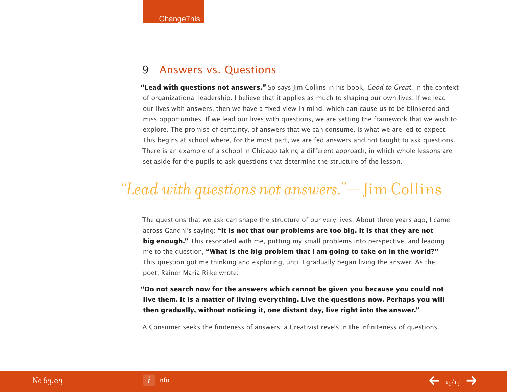### 9 | Answers vs. Questions

**"Lead with questions not answers."** So says Jim Collins in his book, Good to Great, in the context of organizational leadership. I believe that it applies as much to shaping our own lives. If we lead our lives with answers, then we have a fixed view in mind, which can cause us to be blinkered and miss opportunities. If we lead our lives with questions, we are setting the framework that we wish to explore. The promise of certainty, of answers that we can consume, is what we are led to expect. This begins at school where, for the most part, we are fed answers and not taught to ask questions. There is an example of a school in Chicago taking a different approach, in which whole lessons are set aside for the pupils to ask questions that determine the structure of the lesson.

## *"Lead with questions not answers."* — Jim Collins

The questions that we ask can shape the structure of our very lives. About three years ago, I came across Gandhi's saying: **"It is not that our problems are too big. It is that they are not big enough."** This resonated with me, putting my small problems into perspective, and leading me to the question, **"What is the big problem that I am going to take on in the world?"** This question got me thinking and exploring, until I gradually began living the answer. As the poet, Rainer Maria Rilke wrote:

**"Do not search now for the answers which cannot be given you because you could not live them. It is a matter of living everything. Live the questions now. Perhaps you will then gradually, without noticing it, one distant day, live right into the answer."**

A Consumer seeks the finiteness of answers; a Creativist revels in the infiniteness of questions.

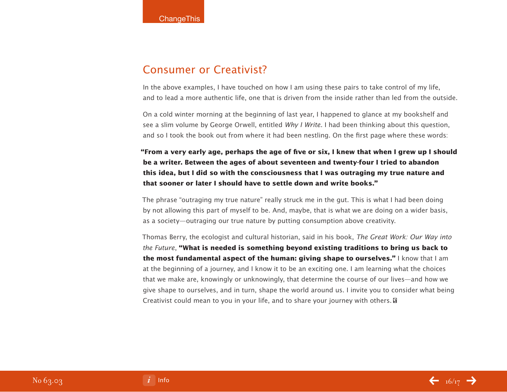### Consumer or Creativist?

In the above examples, I have touched on how I am using these pairs to take control of my life, and to lead a more authentic life, one that is driven from the inside rather than led from the outside.

On a cold winter morning at the beginning of last year, I happened to glance at my bookshelf and see a slim volume by George Orwell, entitled Why I Write. I had been thinking about this question, and so I took the book out from where it had been nestling. On the first page where these words:

**"From a very early age, perhaps the age of five or six, I knew that when I grew up I should be a writer. Between the ages of about seventeen and twenty-four I tried to abandon this idea, but I did so with the consciousness that I was outraging my true nature and that sooner or later I should have to settle down and write books."**

The phrase "outraging my true nature" really struck me in the gut. This is what I had been doing by not allowing this part of myself to be. And, maybe, that is what we are doing on a wider basis, as a society—outraging our true nature by putting consumption above creativity.

Thomas Berry, the ecologist and cultural historian, said in his book, The Great Work: Our Way into the Future, **"What is needed is something beyond existing traditions to bring us back to the most fundamental aspect of the human: giving shape to ourselves."** I know that I am at the beginning of a journey, and I know it to be an exciting one. I am learning what the choices that we make are, knowingly or unknowingly, that determine the course of our lives—and how we give shape to ourselves, and in turn, shape the world around us. I invite you to consider what being Creativist could mean to you in your life, and to share your journey with others.